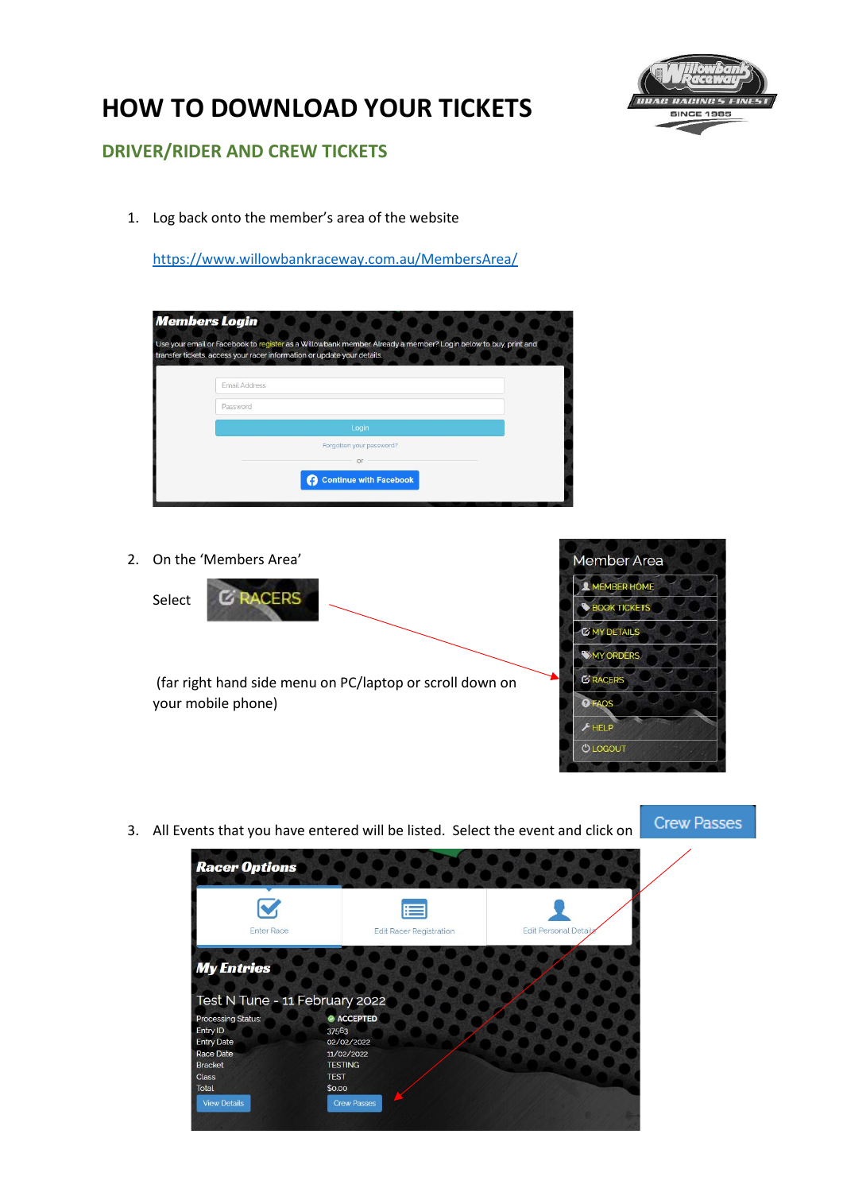

## **HOW TO DOWNLOAD YOUR TICKETS**

## **DRIVER/RIDER AND CREW TICKETS**

1. Log back onto the member's area of the website

<https://www.willowbankraceway.com.au/MembersArea/>

|               | Use your email or Facebook to register as a Willowbank member. Already a member? Login below to buy, print and<br>transfer tickets, access your racer information or update your details. |
|---------------|-------------------------------------------------------------------------------------------------------------------------------------------------------------------------------------------|
|               |                                                                                                                                                                                           |
| Email Address |                                                                                                                                                                                           |
| Password      |                                                                                                                                                                                           |
|               | Login                                                                                                                                                                                     |
|               | Forgotten your password?                                                                                                                                                                  |
|               | Oľ                                                                                                                                                                                        |
|               | <b>Continue with Facebook</b>                                                                                                                                                             |

2. On the 'Members Area'

**E RACERS** 

Select

(far right hand side menu on PC/laptop or scroll down on your mobile phone)



3. All Events that you have entered will be listed. Select the event and click on

**Crew Passes** 

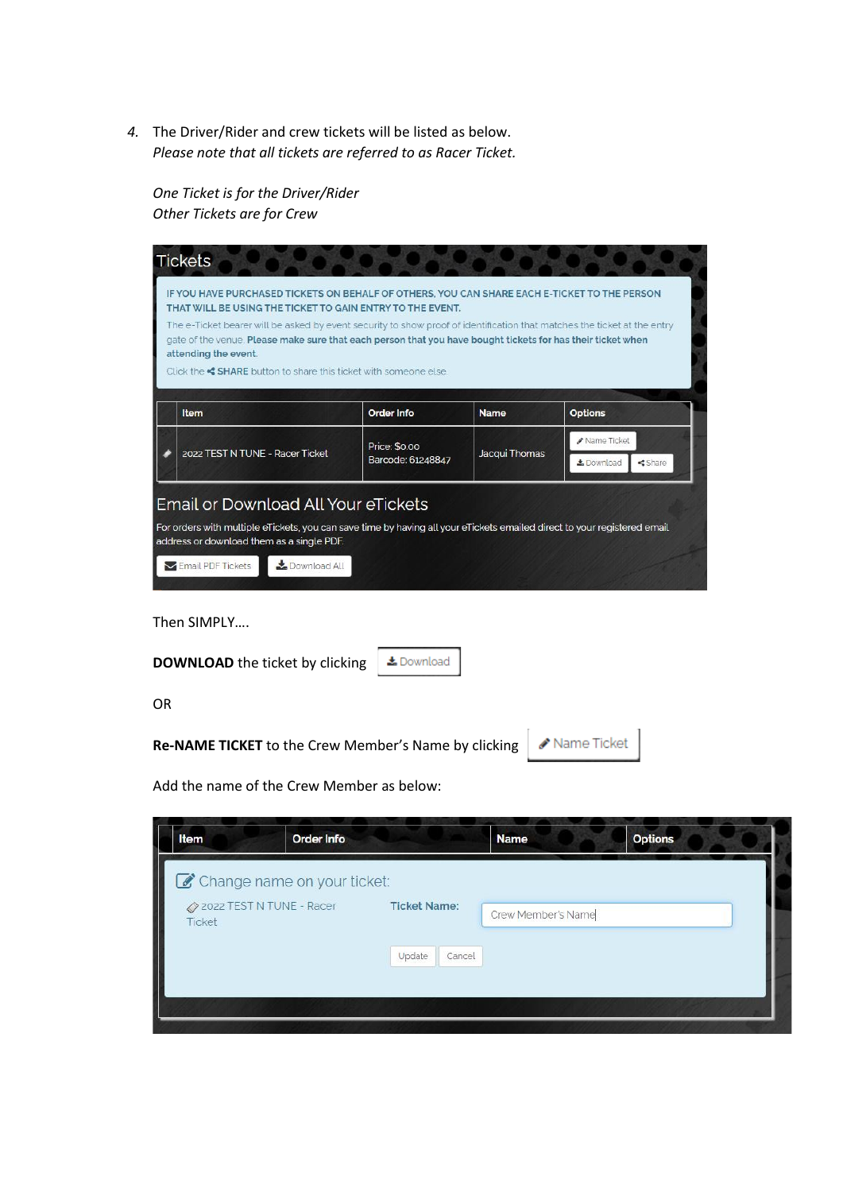*4.* The Driver/Rider and crew tickets will be listed as below. *Please note that all tickets are referred to as Racer Ticket.* 

*One Ticket is for the Driver/Rider Other Tickets are for Crew*

| <b>Tickets</b>                                                                                                                                                                                                                                                                                                                                                                                                                                                                                 |                                    |               |                                                             |
|------------------------------------------------------------------------------------------------------------------------------------------------------------------------------------------------------------------------------------------------------------------------------------------------------------------------------------------------------------------------------------------------------------------------------------------------------------------------------------------------|------------------------------------|---------------|-------------------------------------------------------------|
| IF YOU HAVE PURCHASED TICKETS ON BEHALF OF OTHERS, YOU CAN SHARE EACH E-TICKET TO THE PERSON<br>THAT WILL BE USING THE TICKET TO GAIN ENTRY TO THE EVENT.<br>The e-Ticket bearer will be asked by event security to show proof of identification that matches the ticket at the entry<br>gate of the venue. Please make sure that each person that you have bought tickets for has their ticket when<br>attending the event.<br>Click the SHARE button to share this ticket with someone else. |                                    |               |                                                             |
| Item                                                                                                                                                                                                                                                                                                                                                                                                                                                                                           | <b>Order Info</b>                  | <b>Name</b>   | <b>Options</b>                                              |
| 2022 TEST N TUNE - Racer Ticket                                                                                                                                                                                                                                                                                                                                                                                                                                                                | Price: \$0.00<br>Barcode: 61248847 | Jacqui Thomas | Name Ticket<br><b>L</b> Download<br><share< td=""></share<> |
| Email or Download All Your eTickets<br>For orders with multiple eTickets, you can save time by having all your eTickets emailed direct to your registered email<br>address or download them as a single PDF.<br>Download All<br>Email PDF Tickets                                                                                                                                                                                                                                              |                                    |               |                                                             |

Then SIMPLY….

| <b>DOWNLOAD</b> the ticket by clicking                             | & Download |  |
|--------------------------------------------------------------------|------------|--|
| 0R                                                                 |            |  |
| Re-NAME TICKET to the Crew Member's Name by clicking   Mame Ticket |            |  |
| Add the name of the Crew Member as below:                          |            |  |

| Change name on your ticket:        |                     |        |                    |  |
|------------------------------------|---------------------|--------|--------------------|--|
| 2022 TEST N TUNE - Racer<br>Ticket | <b>Ticket Name:</b> |        | Crew Member's Name |  |
|                                    | Update              | Cancel |                    |  |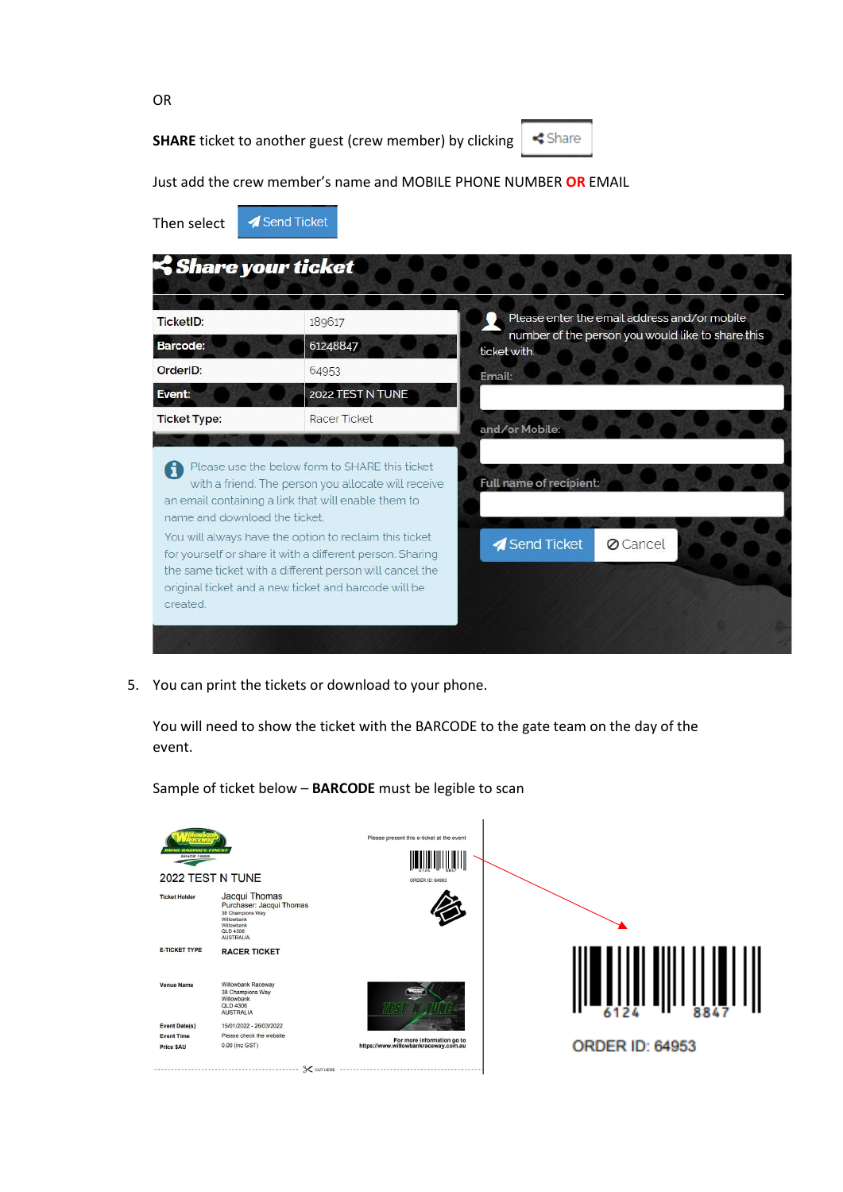**SHARE** ticket to another guest (crew member) by clicking



Just add the crew member's name and MOBILE PHONE NUMBER **OR** EMAIL

| Then select                               | Send Ticket                                                                                                                                                                                                                                                                                                                                                                                            |                                                                                                   |
|-------------------------------------------|--------------------------------------------------------------------------------------------------------------------------------------------------------------------------------------------------------------------------------------------------------------------------------------------------------------------------------------------------------------------------------------------------------|---------------------------------------------------------------------------------------------------|
| Share your ticket                         |                                                                                                                                                                                                                                                                                                                                                                                                        |                                                                                                   |
| TicketID:                                 | 189617                                                                                                                                                                                                                                                                                                                                                                                                 | Please enter the email address and/or mobile<br>number of the person you would like to share this |
| <b>Barcode:</b><br>OrderID:               | 61248847<br>64953                                                                                                                                                                                                                                                                                                                                                                                      | ticket with.                                                                                      |
| Event:                                    | 2022 TEST N TUNE                                                                                                                                                                                                                                                                                                                                                                                       | Email:                                                                                            |
| <b>Ticket Type:</b>                       | Racer Ticket                                                                                                                                                                                                                                                                                                                                                                                           | and/or Mobile:                                                                                    |
| name and download the ticket.<br>created. | Please use the below form to SHARE this ticket<br>with a friend. The person you allocate will receive<br>an email containing a link that will enable them to<br>You will always have the option to reclaim this ticket<br>for yourself or share it with a different person. Sharing<br>the same ticket with a different person will cancel the<br>original ticket and a new ticket and barcode will be | Full name of recipient:<br>Send Ticket<br><b>Ø</b> Cancel                                         |

5. You can print the tickets or download to your phone.

You will need to show the ticket with the BARCODE to the gate team on the day of the event.

Please present this e-ticket at the event <u> Hilli Hilli</u> 2022 TEST N TUNE Jacqui Thomas<br>Purchaser: Jacqui Thomas<br>38 Champions Way<br>Willowbank<br>XIB COD<br>XID 4506<br>AUSTRALIA **Ticket Holder E-TICKET TYPE RACER TICKET**  $\begin{bmatrix} 1 & 0 & 0 \\ 0 & 0 & 1 \end{bmatrix} \begin{bmatrix} 1 & 0 & 0 \\ 0 & 1 & 0 \\ 0 & 0 & 1 \end{bmatrix} \begin{bmatrix} 1 & 0 & 0 \\ 0 & 1 & 0 \\ 0 & 0 & 1 \end{bmatrix} \begin{bmatrix} 1 & 0 & 0 \\ 0 & 1 & 0 \\ 0 & 0 & 1 \end{bmatrix}$ **Venue Name** Willowbank Raceway Willowbank Raceway<br>38 Champions Way<br>Willowbank<br>QLD 4306<br>AUSTRALIA Event Date(s) 15/01/2022 - 26/03/2022 **Event Time** Please check the website For more information go to<br>https://www.willowbankraceway.com.au 0.00 (inc GST) **ORDER ID: 64953** Price \$AU ..................... **X** cut here

Sample of ticket below – **BARCODE** must be legible to scan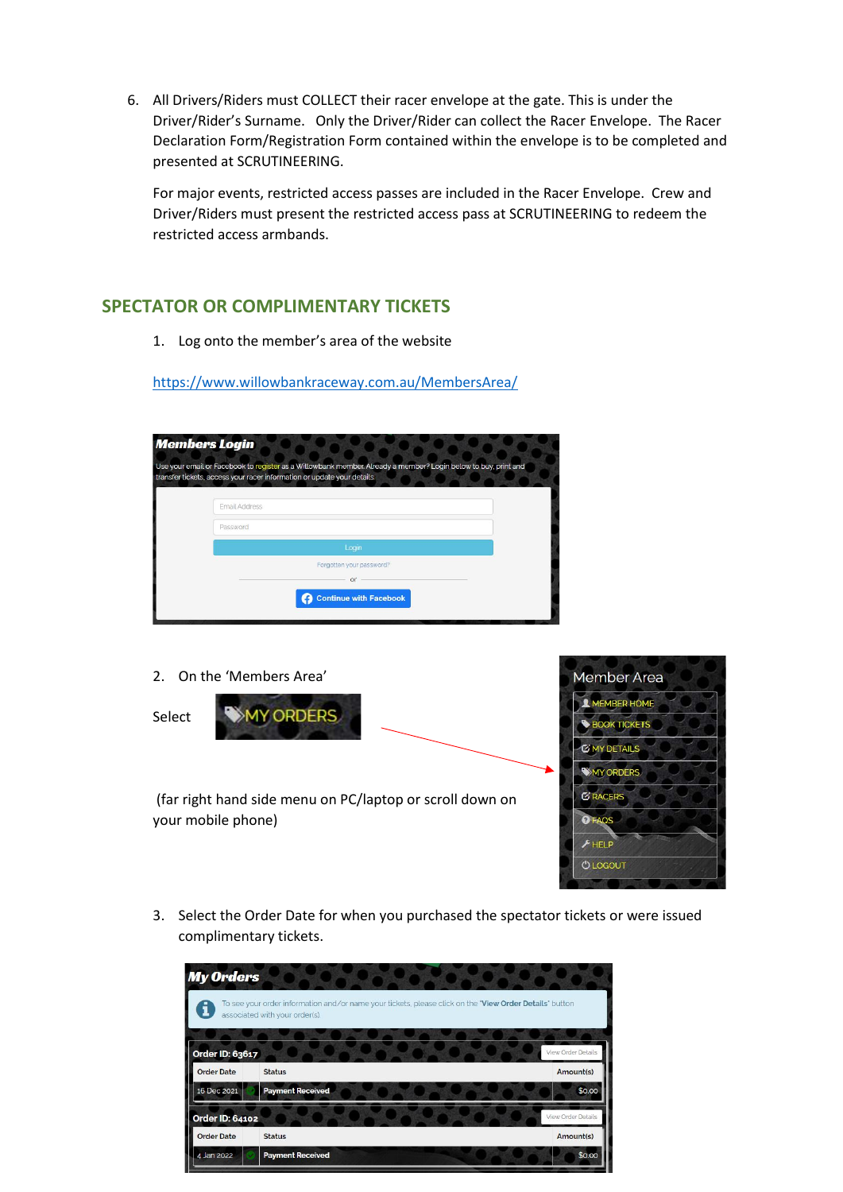6. All Drivers/Riders must COLLECT their racer envelope at the gate. This is under the Driver/Rider's Surname. Only the Driver/Rider can collect the Racer Envelope. The Racer Declaration Form/Registration Form contained within the envelope is to be completed and presented at SCRUTINEERING.

For major events, restricted access passes are included in the Racer Envelope. Crew and Driver/Riders must present the restricted access pass at SCRUTINEERING to redeem the restricted access armbands.

## **SPECTATOR OR COMPLIMENTARY TICKETS**

1. Log onto the member's area of the website

<https://www.willowbankraceway.com.au/MembersArea/>

| Use your email or Facebook to register as a Willowbank member. Already a member? Login below to buy, print and<br>transfer tickets, access your racer information or update your details. |  |
|-------------------------------------------------------------------------------------------------------------------------------------------------------------------------------------------|--|
| Email Address                                                                                                                                                                             |  |
| Password                                                                                                                                                                                  |  |
| Login                                                                                                                                                                                     |  |
| Forgotten your password?                                                                                                                                                                  |  |
| or                                                                                                                                                                                        |  |
| <b>Continue with Facebook</b>                                                                                                                                                             |  |

2. On the 'Members Area'

your mobile phone)







3. Select the Order Date for when you purchased the spectator tickets or were issued complimentary tickets.

| <b>My Orders</b>  |                                                                                                                                           |                    |
|-------------------|-------------------------------------------------------------------------------------------------------------------------------------------|--------------------|
|                   | To see your order information and/or name your tickets, please click on the "View Order Details" button<br>associated with your order(s). |                    |
| Order ID: 63617   |                                                                                                                                           | View Order Details |
| <b>Order Date</b> | <b>Status</b>                                                                                                                             | Amount(s)          |
| 16 Dec 2021       | <b>Payment Received</b>                                                                                                                   | \$0.00             |
| Order ID: 64102   |                                                                                                                                           | View Order Details |
| <b>Order Date</b> | <b>Status</b>                                                                                                                             | Amount(s)          |
| 4 Jan 2022        | <b>Payment Received</b>                                                                                                                   | \$0.00             |